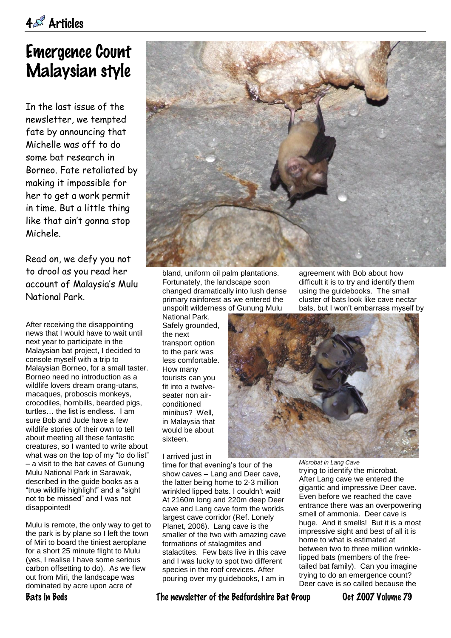## Emergence Count Malaysian style

In the last issue of the newsletter, we tempted fate by announcing that Michelle was off to do some bat research in Borneo. Fate retaliated by making it impossible for her to get a work permit in time. But a little thing like that ain't gonna stop Michele.

Read on, we defy you not to drool as you read her account of Malaysia's Mulu National Park.

After receiving the disappointing news that I would have to wait until next year to participate in the Malaysian bat project, I decided to console myself with a trip to Malaysian Borneo, for a small taster. Borneo need no introduction as a wildlife lovers dream orang-utans, macaques, proboscis monkeys, crocodiles, hornbills, bearded pigs, turtles… the list is endless. I am sure Bob and Jude have a few wildlife stories of their own to tell about meeting all these fantastic creatures, so I wanted to write about what was on the top of my "to do list" – a visit to the bat caves of Gunung Mulu National Park in Sarawak, described in the guide books as a "true wildlife highlight" and a "sight not to be missed" and I was not disappointed!

Mulu is remote, the only way to get to the park is by plane so I left the town of Miri to board the tiniest aeroplane for a short 25 minute flight to Mulu (yes, I realise I have some serious carbon offsetting to do). As we flew out from Miri, the landscape was dominated by acre upon acre of



bland, uniform oil palm plantations. Fortunately, the landscape soon changed dramatically into lush dense primary rainforest as we entered the unspoilt wilderness of Gunung Mulu

National Park. Safely grounded, the next transport option to the park was less comfortable. How many tourists can you fit into a twelveseater non airconditioned minibus? Well, in Malaysia that would be about sixteen.

I arrived just in

time for that evening's tour of the show caves – Lang and Deer cave, the latter being home to 2-3 million wrinkled lipped bats. I couldn't wait! At 2160m long and 220m deep Deer cave and Lang cave form the worlds largest cave corridor (Ref. Lonely Planet, 2006). Lang cave is the smaller of the two with amazing cave formations of stalagmites and stalactites. Few bats live in this cave and I was lucky to spot two different species in the roof crevices. After pouring over my guidebooks, I am in

agreement with Bob about how difficult it is to try and identify them using the guidebooks. The small cluster of bats look like cave nectar bats, but I won't embarrass myself by



*Microbat in Lang Cave*

trying to identify the microbat. After Lang cave we entered the gigantic and impressive Deer cave. Even before we reached the cave entrance there was an overpowering smell of ammonia. Deer cave is huge. And it smells! But it is a most impressive sight and best of all it is home to what is estimated at between two to three million wrinklelipped bats (members of the freetailed bat family). Can you imagine trying to do an emergence count? Deer cave is so called because the